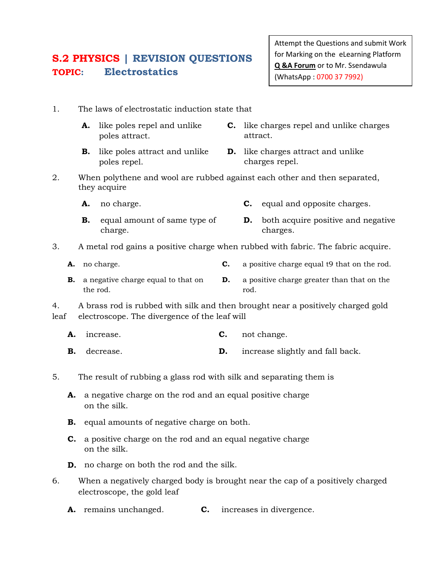## **S.2 PHYSICS | REVISION QUESTIONS TOPIC: Electrostatics**

Attempt the Questions and submit Work for Marking on the eLearning Platform **Q &A Forum** or to Mr. Ssendawula (WhatsApp : 0700 37 7992)

- 1. The laws of electrostatic induction state that
	- **A.** like poles repel and unlike poles attract. **C.** like charges repel and unlike charges attract.
	- **B.** like poles attract and unlike poles repel.
- **D.** like charges attract and unlike charges repel.
- 2. When polythene and wool are rubbed against each other and then separated, they acquire
	- **A.** no charge. **C.** equal and opposite charges.
	- **B.** equal amount of same type of charge. **D.** both acquire positive and negative charges.
- 3. A metal rod gains a positive charge when rubbed with fabric. The fabric acquire.
	- **A.** no charge. **C.** a positive charge equal t9 that on the rod.
	- **B.** a negative charge equal to that on the rod. **D.** a positive charge greater than that on the rod.
- 4. A brass rod is rubbed with silk and then brought near a positively charged gold leaf electroscope. The divergence of the leaf will
	- **A.** increase. **C.** not change.
	- **B.** decrease. **D.** increase slightly and fall back.
- 5. The result of rubbing a glass rod with silk and separating them is
	- **A.** a negative charge on the rod and an equal positive charge on the silk.
	- **B.** equal amounts of negative charge on both.
	- **C.** a positive charge on the rod and an equal negative charge on the silk.
	- **D.** no charge on both the rod and the silk.
- 6. When a negatively charged body is brought near the cap of a positively charged electroscope, the gold leaf
	- **A.** remains unchanged. **C.** increases in divergence.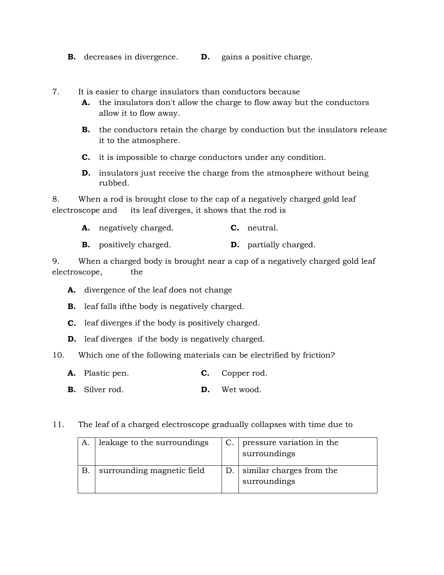- **B.** decreases in divergence. **D.** gains a positive charge.
- 7. It is easier to charge insulators than conductors because
	- **A.** the insulators don't allow the charge to flow away but the conductors allow it to flow away.
	- **B.** the conductors retain the charge by conduction but the insulators release it to the atmosphere.
	- **C.** it is impossible to charge conductors under any condition.
	- **D.** insulators just receive the charge from the atmosphere without being rubbed.

8. When a rod is brought close to the cap of a negatively charged gold leaf electroscope and its leaf diverges, it shows that the rod is

- **A.** negatively charged. **C.** neutral.
- **B.** positively charged. **D.** partially charged.

9. When a charged body is brought near a cap of a negatively charged gold leaf electroscope, the

- **A.** divergence of the leaf does not change
- **B.** leaf falls ifthe body is negatively charged.
- **C.** leaf diverges if the body is positively charged.
- **D.** leaf diverges if the body is negatively charged.
- 10. Which one of the following materials can be electrified by friction?
	- **A.** Plastic pen. **C.** Copper rod.
	- **B.** Silver rod. **D.** Wet wood.
- 11. The leaf of a charged electroscope gradually collapses with time due to

| А.           | leakage to the surroundings |    | pressure variation in the<br>surroundings |
|--------------|-----------------------------|----|-------------------------------------------|
| $\mathbf{B}$ | surrounding magnetic field  | D. | similar charges from the<br>surroundings  |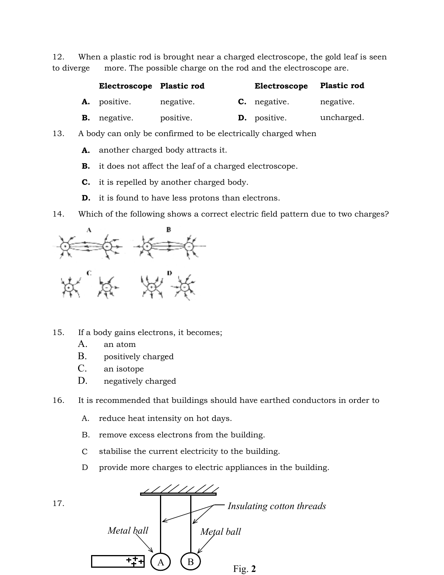12. When a plastic rod is brought near a charged electroscope, the gold leaf is seen<br>to diverge more. The possible charge on the rod and the electroscope are. to diverge more. The possible charge on the rod and the electroscope are.

| Electroscope Plastic rod |           | Electroscope        | <b>Plastic rod</b> |
|--------------------------|-----------|---------------------|--------------------|
| <b>A.</b> positive.      | negative. | <b>C.</b> negative. | negative.          |
| <b>B.</b> negative.      | positive. | <b>D.</b> positive. | uncharged.         |

- 13. A body can only be confirmed to be electrically charged when
	- **A.** another charged body attracts it.
	- **B.** it does not affect the leaf of a charged electroscope.
	- **C.** it is repelled by another charged body.
	- **D.** it is found to have less protons than electrons.

14. Which of the following shows a correct electric field pattern due to two charges?



15. If a body gains electrons, it becomes;

- A. an atom
- B. positively charged
- C. an isotope
- D. negatively charged

16. It is recommended that buildings should have earthed conductors in order to negatively charged should earthed conductors

- A. reduce heat intensity on hot days.
- A. reduce heat intensity on hot days.<br>B. remove excess electrons from the building.
- C stabilise the current electricity to the building.
- D provide more charges to electric appliances in the building.

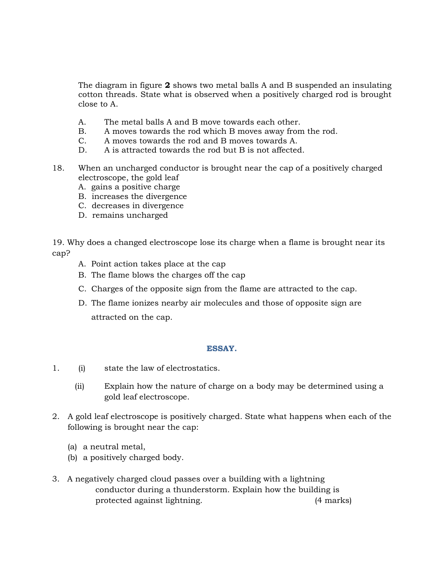The diagram in figure **2** shows two metal balls A and B suspended an insulating cotton threads. State what is observed when a positively charged rod is brought close to A.

- A. The metal balls A and B move towards each other.
- B. A moves towards the rod which B moves away from the rod.
- C. A moves towards the rod and B moves towards A.
- D. A is attracted towards the rod but B is not affected.
- 18. When an uncharged conductor is brought near the cap of a positively charged electroscope, the gold leaf
	- A. gains a positive charge
	- B. increases the divergence
	- C. decreases in divergence
	- D. remains uncharged

19. Why does a changed electroscope lose its charge when a flame is brought near its cap?

- A. Point action takes place at the cap
- B. The flame blows the charges off the cap
- C. Charges of the opposite sign from the flame are attracted to the cap.
- D. The flame ionizes nearby air molecules and those of opposite sign are attracted on the cap.

## **ESSAY.**

- 1. (i) state the law of electrostatics.
	- (ii) Explain how the nature of charge on a body may be determined using a gold leaf electroscope.
- 2. A gold leaf electroscope is positively charged. State what happens when each of the following is brought near the cap:
	- (a) a neutral metal,
	- (b) a positively charged body.
- 3. A negatively charged cloud passes over a building with a lightning conductor during a thunderstorm. Explain how the building is protected against lightning. (4 marks)